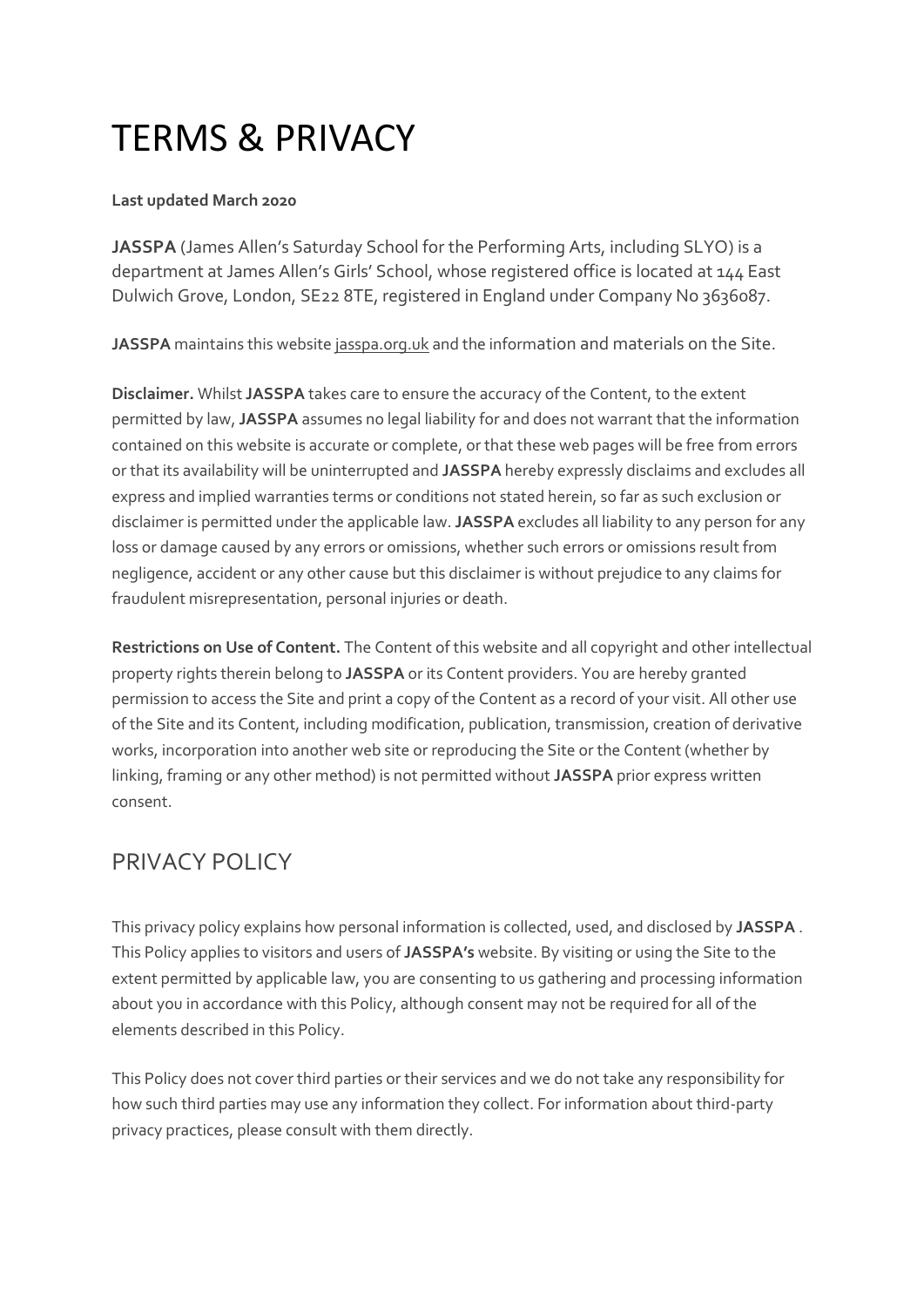# TERMS & PRIVACY

#### **Last updated March 2020**

**JASSPA** (James Allen's Saturday School for the Performing Arts, including SLYO) is a department at James Allen's Girls' School, whose registered office is located at 144 East Dulwich Grove, London, SE22 8TE, registered in England under Company No 3636087.

**JASSPA** maintains this website [jasspa.org.uk](https://www.jags.org.uk/) and the information and materials on the Site.

**Disclaimer.** Whilst **JASSPA** takes care to ensure the accuracy of the Content, to the extent permitted by law, **JASSPA** assumes no legal liability for and does not warrant that the information contained on this website is accurate or complete, or that these web pages will be free from errors or that its availability will be uninterrupted and **JASSPA** hereby expressly disclaims and excludes all express and implied warranties terms or conditions not stated herein, so far as such exclusion or disclaimer is permitted under the applicable law. **JASSPA** excludes all liability to any person for any loss or damage caused by any errors or omissions, whether such errors or omissions result from negligence, accident or any other cause but this disclaimer is without prejudice to any claims for fraudulent misrepresentation, personal injuries or death.

**Restrictions on Use of Content.** The Content of this website and all copyright and other intellectual property rights therein belong to **JASSPA** or its Content providers. You are hereby granted permission to access the Site and print a copy of the Content as a record of your visit. All other use of the Site and its Content, including modification, publication, transmission, creation of derivative works, incorporation into another web site or reproducing the Site or the Content (whether by linking, framing or any other method) is not permitted without **JASSPA** prior express written consent.

## PRIVACY POLICY

This privacy policy explains how personal information is collected, used, and disclosed by **JASSPA** . This Policy applies to visitors and users of **JASSPA's** website. By visiting or using the Site to the extent permitted by applicable law, you are consenting to us gathering and processing information about you in accordance with this Policy, although consent may not be required for all of the elements described in this Policy.

This Policy does not cover third parties or their services and we do not take any responsibility for how such third parties may use any information they collect. For information about third-party privacy practices, please consult with them directly.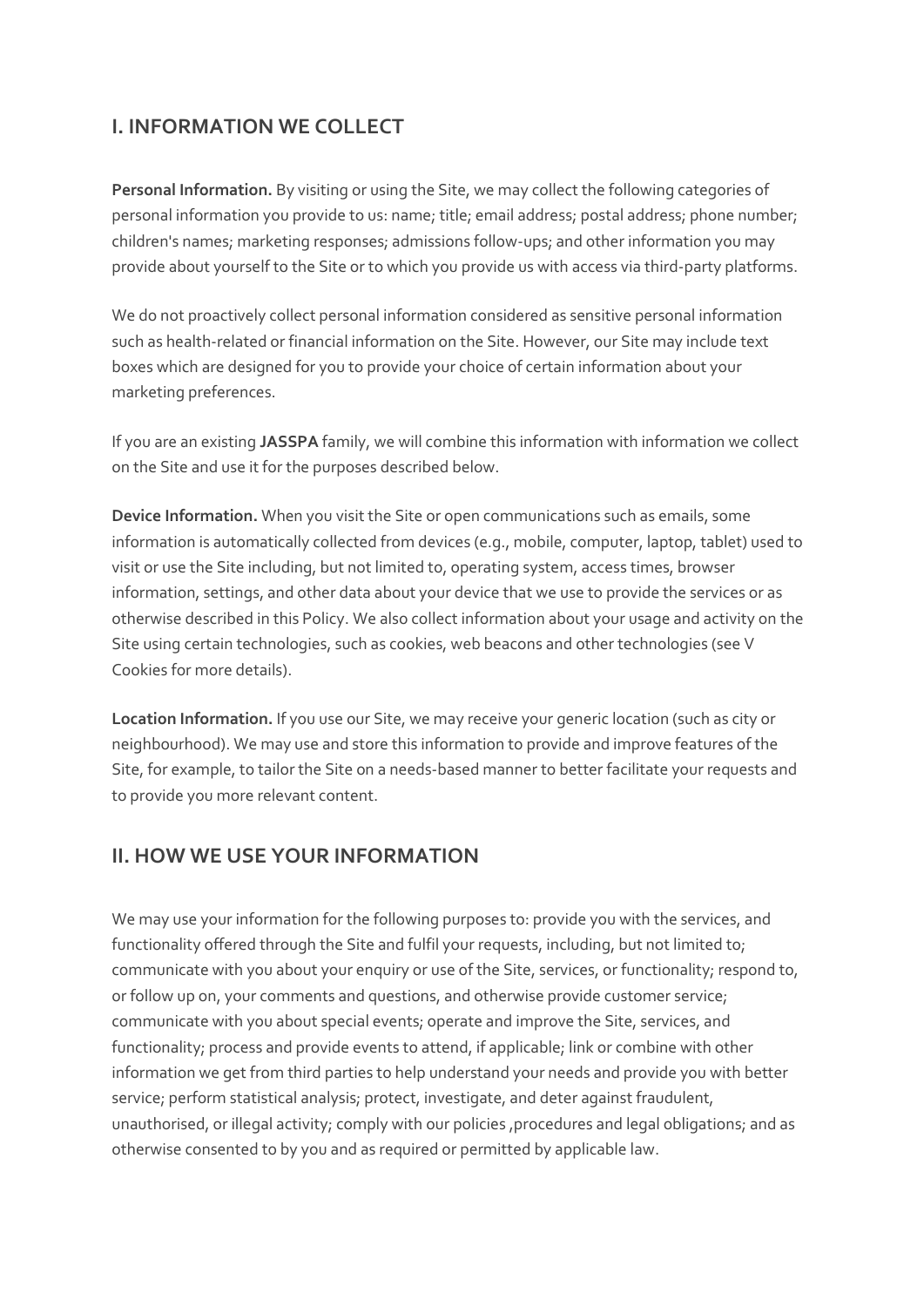## **I. INFORMATION WE COLLECT**

**Personal Information.** By visiting or using the Site, we may collect the following categories of personal information you provide to us: name; title; email address; postal address; phone number; children's names; marketing responses; admissions follow-ups; and other information you may provide about yourself to the Site or to which you provide us with access via third-party platforms.

We do not proactively collect personal information considered as sensitive personal information such as health-related or financial information on the Site. However, our Site may include text boxes which are designed for you to provide your choice of certain information about your marketing preferences.

If you are an existing **JASSPA** family, we will combine this information with information we collect on the Site and use it for the purposes described below.

**Device Information.** When you visit the Site or open communications such as emails, some information is automatically collected from devices (e.g., mobile, computer, laptop, tablet) used to visit or use the Site including, but not limited to, operating system, access times, browser information, settings, and other data about your device that we use to provide the services or as otherwise described in this Policy. We also collect information about your usage and activity on the Site using certain technologies, such as cookies, web beacons and other technologies (see V Cookies for more details).

**Location Information.** If you use our Site, we may receive your generic location (such as city or neighbourhood). We may use and store this information to provide and improve features of the Site, for example, to tailor the Site on a needs-based manner to better facilitate your requests and to provide you more relevant content.

### **II. HOW WE USE YOUR INFORMATION**

We may use your information for the following purposes to: provide you with the services, and functionality offered through the Site and fulfil your requests, including, but not limited to; communicate with you about your enquiry or use of the Site, services, or functionality; respond to, or follow up on, your comments and questions, and otherwise provide customer service; communicate with you about special events; operate and improve the Site, services, and functionality; process and provide events to attend, if applicable; link or combine with other information we get from third parties to help understand your needs and provide you with better service; perform statistical analysis; protect, investigate, and deter against fraudulent, unauthorised, or illegal activity; comply with our policies ,procedures and legal obligations; and as otherwise consented to by you and as required or permitted by applicable law.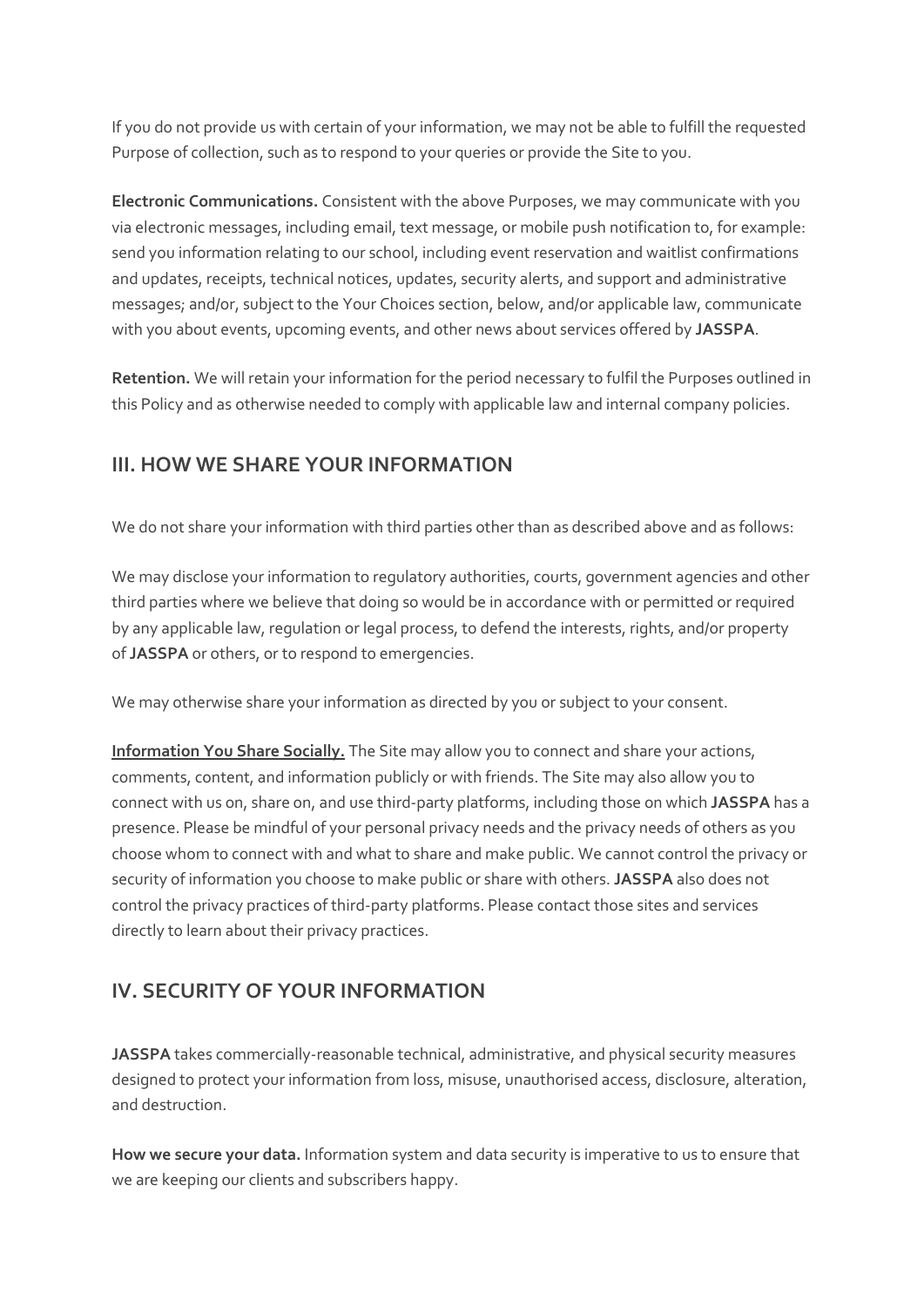If you do not provide us with certain of your information, we may not be able to fulfill the requested Purpose of collection, such as to respond to your queries or provide the Site to you.

**Electronic Communications.** Consistent with the above Purposes, we may communicate with you via electronic messages, including email, text message, or mobile push notification to, for example: send you information relating to our school, including event reservation and waitlist confirmations and updates, receipts, technical notices, updates, security alerts, and support and administrative messages; and/or, subject to the Your Choices section, below, and/or applicable law, communicate with you about events, upcoming events, and other news about services offered by **JASSPA**.

**Retention.** We will retain your information for the period necessary to fulfil the Purposes outlined in this Policy and as otherwise needed to comply with applicable law and internal company policies.

## **III. HOW WE SHARE YOUR INFORMATION**

We do not share your information with third parties other than as described above and as follows:

We may disclose your information to regulatory authorities, courts, government agencies and other third parties where we believe that doing so would be in accordance with or permitted or required by any applicable law, regulation or legal process, to defend the interests, rights, and/or property of **JASSPA** or others, or to respond to emergencies.

We may otherwise share your information as directed by you or subject to your consent.

**Information You Share Socially.** The Site may allow you to connect and share your actions, comments, content, and information publicly or with friends. The Site may also allow you to connect with us on, share on, and use third-party platforms, including those on which **JASSPA** has a presence. Please be mindful of your personal privacy needs and the privacy needs of others as you choose whom to connect with and what to share and make public. We cannot control the privacy or security of information you choose to make public or share with others. **JASSPA** also does not control the privacy practices of third-party platforms. Please contact those sites and services directly to learn about their privacy practices.

## **IV. SECURITY OF YOUR INFORMATION**

**JASSPA** takes commercially-reasonable technical, administrative, and physical security measures designed to protect your information from loss, misuse, unauthorised access, disclosure, alteration, and destruction.

**How we secure your data.** Information system and data security is imperative to us to ensure that we are keeping our clients and subscribers happy.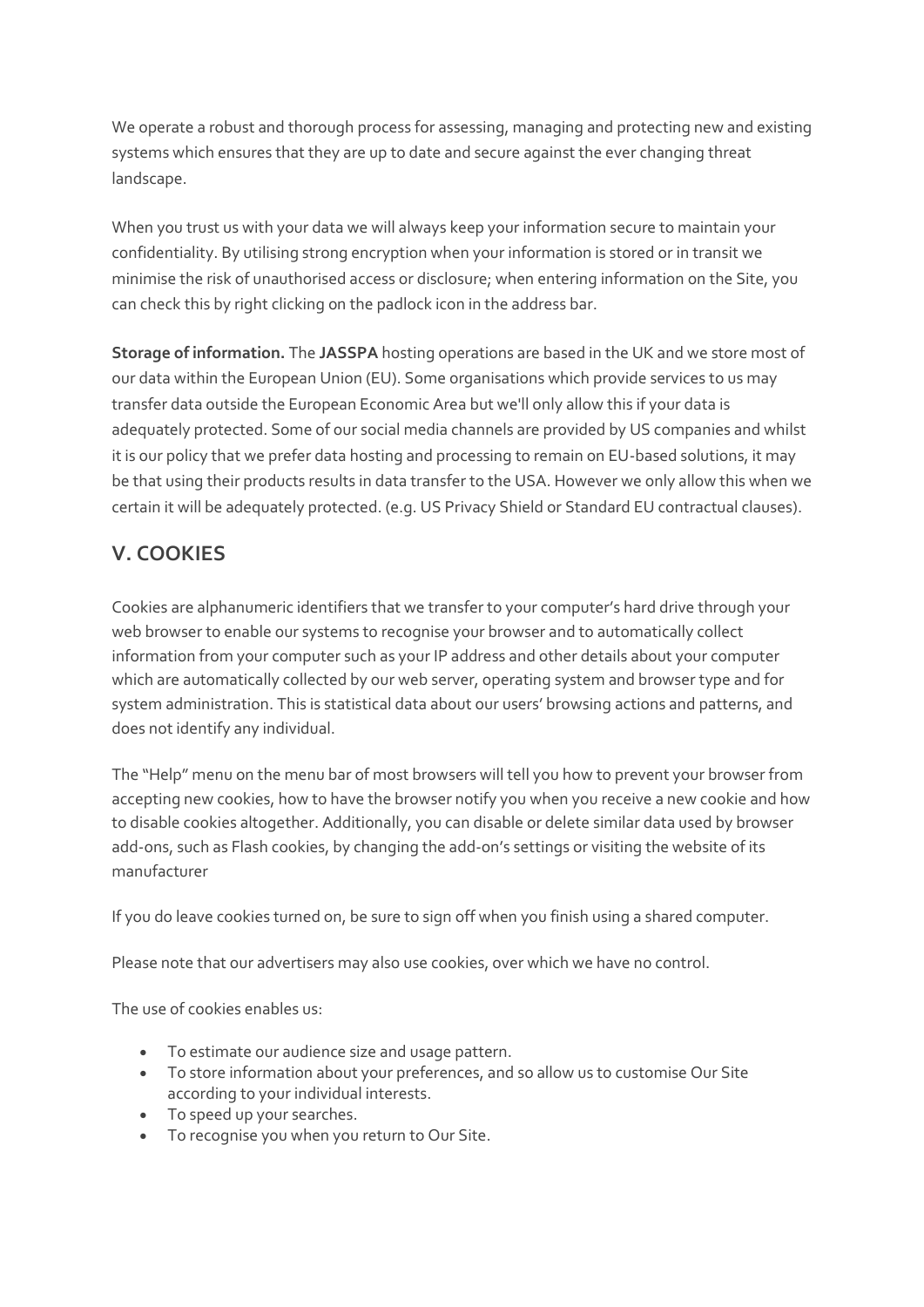We operate a robust and thorough process for assessing, managing and protecting new and existing systems which ensures that they are up to date and secure against the ever changing threat landscape.

When you trust us with your data we will always keep your information secure to maintain your confidentiality. By utilising strong encryption when your information is stored or in transit we minimise the risk of unauthorised access or disclosure; when entering information on the Site, you can check this by right clicking on the padlock icon in the address bar.

**Storage of information.** The **JASSPA** hosting operations are based in the UK and we store most of our data within the European Union (EU). Some organisations which provide services to us may transfer data outside the European Economic Area but we'll only allow this if your data is adequately protected. Some of our social media channels are provided by US companies and whilst it is our policy that we prefer data hosting and processing to remain on EU-based solutions, it may be that using their products results in data transfer to the USA. However we only allow this when we certain it will be adequately protected. (e.g. US Privacy Shield or Standard EU contractual clauses).

## **V. COOKIES**

Cookies are alphanumeric identifiers that we transfer to your computer's hard drive through your web browser to enable our systems to recognise your browser and to automatically collect information from your computer such as your IP address and other details about your computer which are automatically collected by our web server, operating system and browser type and for system administration. This is statistical data about our users' browsing actions and patterns, and does not identify any individual.

The "Help" menu on the menu bar of most browsers will tell you how to prevent your browser from accepting new cookies, how to have the browser notify you when you receive a new cookie and how to disable cookies altogether. Additionally, you can disable or delete similar data used by browser add-ons, such as Flash cookies, by changing the add-on's settings or visiting the website of its manufacturer

If you do leave cookies turned on, be sure to sign off when you finish using a shared computer.

Please note that our advertisers may also use cookies, over which we have no control.

The use of cookies enables us:

- To estimate our audience size and usage pattern.
- To store information about your preferences, and so allow us to customise Our Site according to your individual interests.
- To speed up your searches.
- To recognise you when you return to Our Site.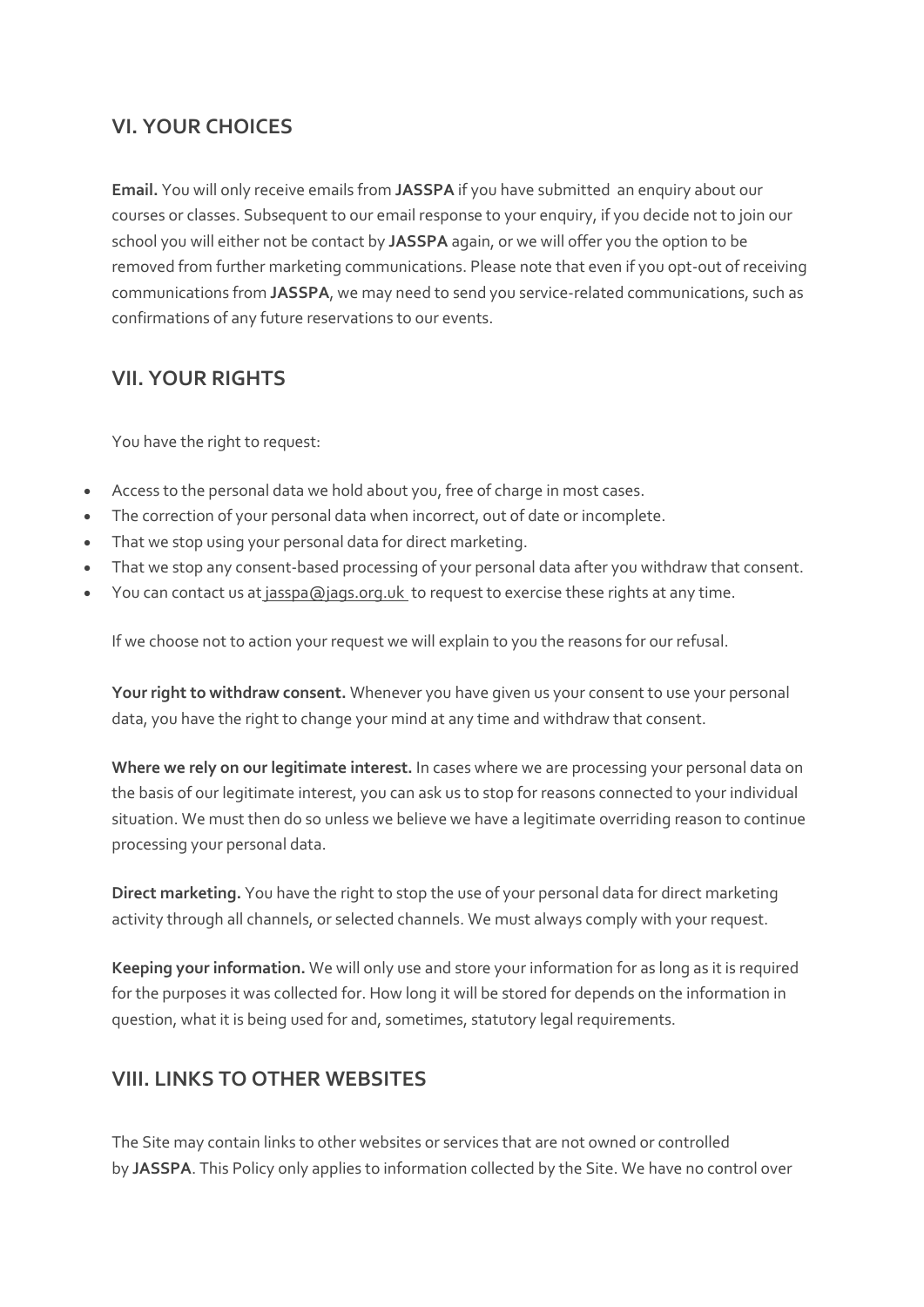## **VI. YOUR CHOICES**

**Email.** You will only receive emails from **JASSPA** if you have submitted an enquiry about our courses or classes. Subsequent to our email response to your enquiry, if you decide not to join our school you will either not be contact by **JASSPA** again, or we will offer you the option to be removed from further marketing communications. Please note that even if you opt-out of receiving communications from **JASSPA**, we may need to send you service-related communications, such as confirmations of any future reservations to our events.

## **VII. YOUR RIGHTS**

You have the right to request:

- Access to the personal data we hold about you, free of charge in most cases.
- The correction of your personal data when incorrect, out of date or incomplete.
- That we stop using your personal data for direct marketing.
- That we stop any consent-based processing of your personal data after you withdraw that consent.
- You can [contact](https://www.jags.org.uk/contact) us at [jasspa@jags.org.uk](mailto:jasspa@jags.org.uk) to request to exercise these rights at any time.

If we choose not to action your request we will explain to you the reasons for our refusal.

**Your right to withdraw consent.** Whenever you have given us your consent to use your personal data, you have the right to change your mind at any time and withdraw that consent.

**Where we rely on our legitimate interest.** In cases where we are processing your personal data on the basis of our legitimate interest, you can ask us to stop for reasons connected to your individual situation. We must then do so unless we believe we have a legitimate overriding reason to continue processing your personal data.

**Direct marketing.** You have the right to stop the use of your personal data for direct marketing activity through all channels, or selected channels. We must always comply with your request.

**Keeping your information.** We will only use and store your information for as long as it is required for the purposes it was collected for. How long it will be stored for depends on the information in question, what it is being used for and, sometimes, statutory legal requirements.

### **VIII. LINKS TO OTHER WEBSITES**

The Site may contain links to other websites or services that are not owned or controlled by **JASSPA**. This Policy only applies to information collected by the Site. We have no control over